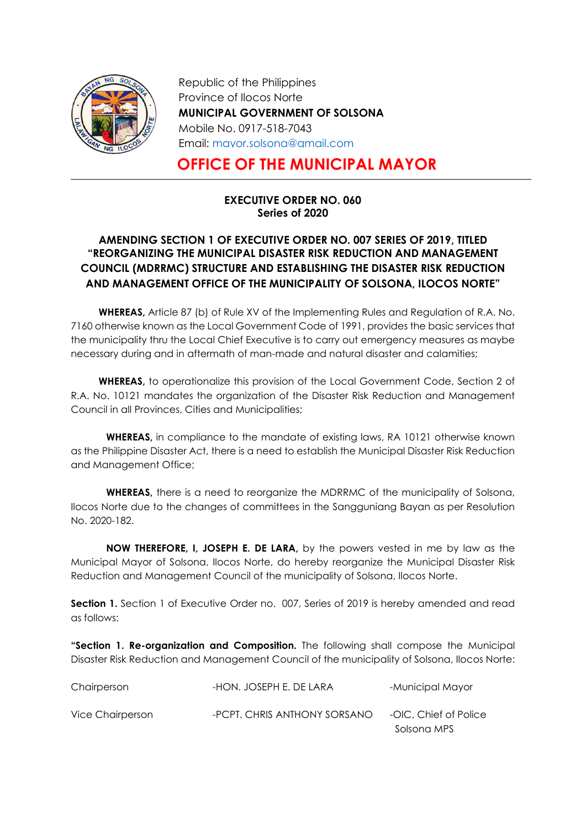

Republic of the Philippines Province of Ilocos Norte MUNICIPAL GOVERNMENT OF SOLSONA Mobile No. 0917-518-7043 Email: mayor.solsona@gmail.com

# OFFICE OF THE MUNICIPAL MAYOR

## EXECUTIVE ORDER NO. 060 Series of 2020

# AMENDING SECTION 1 OF EXECUTIVE ORDER NO. 007 SERIES OF 2019, TITLED "REORGANIZING THE MUNICIPAL DISASTER RISK REDUCTION AND MANAGEMENT COUNCIL (MDRRMC) STRUCTURE AND ESTABLISHING THE DISASTER RISK REDUCTION AND MANAGEMENT OFFICE OF THE MUNICIPALITY OF SOLSONA, ILOCOS NORTE"

WHEREAS, Article 87 (b) of Rule XV of the Implementing Rules and Regulation of R.A. No. 7160 otherwise known as the Local Government Code of 1991, provides the basic services that the municipality thru the Local Chief Executive is to carry out emergency measures as maybe necessary during and in aftermath of man-made and natural disaster and calamities;

WHEREAS, to operationalize this provision of the Local Government Code, Section 2 of R.A. No. 10121 mandates the organization of the Disaster Risk Reduction and Management Council in all Provinces, Cities and Municipalities;

WHEREAS, in compliance to the mandate of existing laws, RA 10121 otherwise known as the Philippine Disaster Act, there is a need to establish the Municipal Disaster Risk Reduction and Management Office;

WHEREAS, there is a need to reorganize the MDRRMC of the municipality of Solsona, Ilocos Norte due to the changes of committees in the Sangguniang Bayan as per Resolution No. 2020-182.

NOW THEREFORE, I, JOSEPH E. DE LARA, by the powers vested in me by law as the Municipal Mayor of Solsona, Ilocos Norte, do hereby reorganize the Municipal Disaster Risk Reduction and Management Council of the municipality of Solsona, Ilocos Norte.

Section 1. Section 1 of Executive Order no. 007, Series of 2019 is hereby amended and read as follows:

**"Section 1. Re-organization and Composition.** The following shall compose the Municipal Disaster Risk Reduction and Management Council of the municipality of Solsona, Ilocos Norte:

| Chairperson      | -HON. JOSEPH E. DE LARA      | -Municipal Mayor      |
|------------------|------------------------------|-----------------------|
| Vice Chairperson | -PCPT. CHRIS ANTHONY SORSANO | -OIC, Chief of Police |
|                  |                              | Solsona MPS           |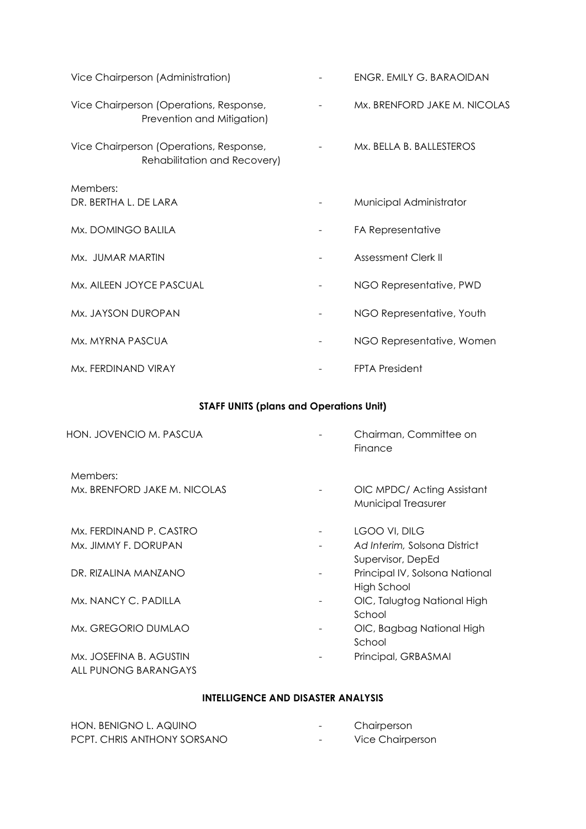| Vice Chairperson (Administration)                                       | ENGR. EMILY G. BARAOIDAN     |
|-------------------------------------------------------------------------|------------------------------|
| Vice Chairperson (Operations, Response,<br>Prevention and Mitigation)   | Mx. BRENFORD JAKE M. NICOLAS |
| Vice Chairperson (Operations, Response,<br>Rehabilitation and Recovery) | Mx. BELLA B. BALLESTEROS     |
| Members:                                                                |                              |
| DR. BERTHA L. DE LARA                                                   | Municipal Administrator      |
| Mx. DOMINGO BALILA                                                      | FA Representative            |
| Mx. JUMAR MARTIN                                                        | Assessment Clerk II          |
| Mx. AILEEN JOYCE PASCUAL                                                | NGO Representative, PWD      |
| Mx. JAYSON DUROPAN                                                      | NGO Representative, Youth    |
| Mx. MYRNA PASCUA                                                        | NGO Representative, Women    |
| Mx. FERDINAND VIRAY                                                     | <b>FPTA President</b>        |

# STAFF UNITS (plans and Operations Unit)

| HON. JOVENCIO M. PASCUA                         | Chairman, Committee on<br>Finance                 |
|-------------------------------------------------|---------------------------------------------------|
| Members:                                        |                                                   |
| Mx. BRENFORD JAKE M. NICOLAS                    | OIC MPDC/Acting Assistant<br>Municipal Treasurer  |
| Mx. FERDINAND P. CASTRO                         | LGOO VI, DILG                                     |
| Mx. JIMMY F. DORUPAN                            | Ad Interim, Solsona District<br>Supervisor, DepEd |
| DR. RIZALINA MANZANO                            | Principal IV, Solsona National<br>High School     |
| Mx. NANCY C. PADILLA                            | OIC, Talugtog National High<br>School             |
| Mx. GREGORIO DUMLAO                             | OIC, Bagbag National High<br>School               |
| Mx. JOSEFINA B. AGUSTIN<br>ALL PUNONG BARANGAYS | Principal, GRBASMAI                               |

## INTELLIGENCE AND DISASTER ANALYSIS

| HON. BENIGNO L. AQUINO      | $\overline{\phantom{0}}$ | Chairperson      |
|-----------------------------|--------------------------|------------------|
| PCPT. CHRIS ANTHONY SORSANO | $\overline{\phantom{0}}$ | Vice Chairperson |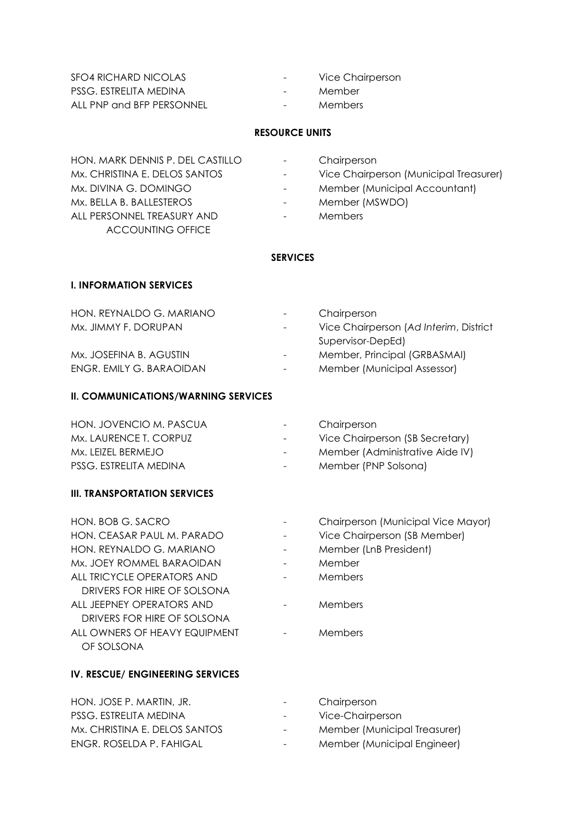SFO4 RICHARD NICOLAS - Vice Chairperson PSSG. ESTRELITA MEDINA  $\blacksquare$  - Member ALL PNP and BFP PERSONNEL - Members

- 
- 
- 

#### RESOURCE UNITS

HON. MARK DENNIS P. DEL CASTILLO - Chairperson Mx. BELLA B. BALLESTEROS - Member (MSWDO) ALL PERSONNEL TREASURY AND - Members ACCOUNTING OFFICE

- 
- Mx. CHRISTINA E. DELOS SANTOS **Face Chairperson** (Municipal Treasurer)
- Mx. DIVINA G. DOMINGO **Accountant** Accountant) **Municipal Accountant** 
	-
	-

#### **SERVICES**

#### I. INFORMATION SERVICES

| HON, REYNALDO G. MARIANO | $\sim$                   | Chairperson                            |
|--------------------------|--------------------------|----------------------------------------|
| Mx. JIMMY F. DORUPAN     | $\sim$ $-$               | Vice Chairperson (Ad Interim, District |
|                          |                          | Supervisor-DepEd)                      |
| Mx. JOSEFINA B. AGUSTIN  |                          | Member, Principal (GRBASMAI)           |
| ENGR. EMILY G. BARAOIDAN | $\overline{\phantom{a}}$ | Member (Municipal Assessor)            |

#### II. COMMUNICATIONS/WARNING SERVICES

| HON. JOVENCIO M. PASCUA | $\sim$           | Chairperson                     |
|-------------------------|------------------|---------------------------------|
| Mx. LAURENCE T. CORPUZ  | $\sim$ 100 $\mu$ | Vice Chairperson (SB Secretary) |
| Mx. LEIZEL BERMEJO      | $\sim$           | Member (Administrative Aide IV) |
| PSSG. ESTRELITA MEDINA  | $\sim$ $-$       | Member (PNP Solsona)            |
|                         |                  |                                 |

### III. TRANSPORTATION SERVICES

| HON. BOB G. SACRO             | Chairperson (Municipal Vice Mayor) |
|-------------------------------|------------------------------------|
| HON. CEASAR PAUL M. PARADO    | Vice Chairperson (SB Member)       |
| HON. REYNALDO G. MARIANO      | Member (LnB President)             |
| Mx. JOEY ROMMEL BARAOIDAN     | Member                             |
| ALL TRICYCLE OPERATORS AND    | Members                            |
| DRIVERS FOR HIRE OF SOLSONA   |                                    |
| ALL JEEPNEY OPERATORS AND     | Members                            |
| DRIVERS FOR HIRE OF SOLSONA   |                                    |
| ALL OWNERS OF HEAVY EQUIPMENT | Members                            |
| OF SOLSONA                    |                                    |

#### IV. RESCUE/ ENGINEERING SERVICES

| HON. JOSE P. MARTIN, JR.      | $\sim$ 100 $\mu$ | Chairperson                  |
|-------------------------------|------------------|------------------------------|
| PSSG. ESTRELITA MEDINA        | $\sim 100$       | Vice-Chairperson             |
| Mx. CHRISTINA E. DELOS SANTOS | $\sim$ 100 $\mu$ | Member (Municipal Treasurer) |
| ENGR. ROSELDA P. FAHIGAL      | $\sim$ 100 $\mu$ | Member (Municipal Engineer)  |